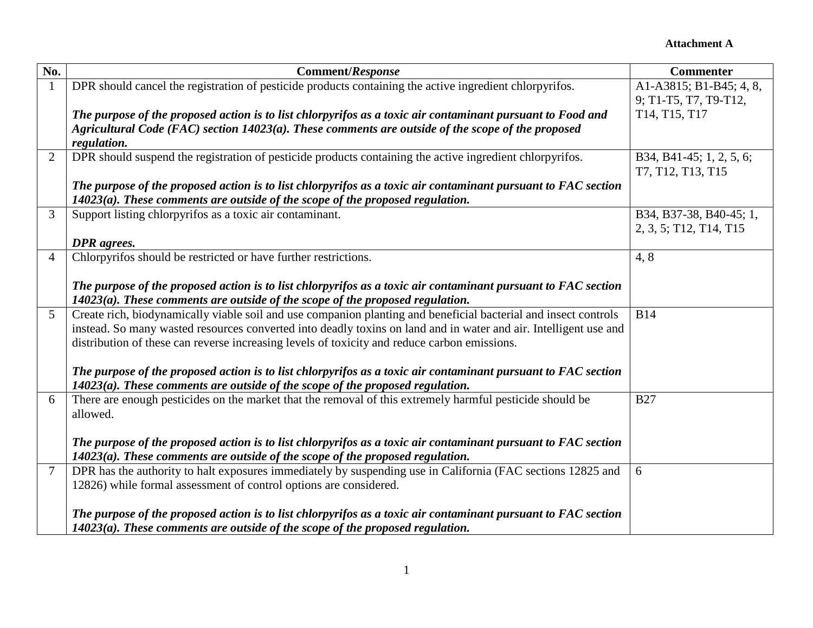| No.            | <b>Comment/Response</b>                                                                                                                                                                      | <b>Commenter</b>         |
|----------------|----------------------------------------------------------------------------------------------------------------------------------------------------------------------------------------------|--------------------------|
|                | DPR should cancel the registration of pesticide products containing the active ingredient chlorpyrifos.                                                                                      | A1-A3815; B1-B45; 4, 8,  |
|                |                                                                                                                                                                                              | 9; T1-T5, T7, T9-T12,    |
|                | The purpose of the proposed action is to list chlorpyrifos as a toxic air contaminant pursuant to Food and                                                                                   | T14, T15, T17            |
|                | Agricultural Code (FAC) section $14023(a)$ . These comments are outside of the scope of the proposed                                                                                         |                          |
|                | regulation.                                                                                                                                                                                  |                          |
| $\overline{2}$ | DPR should suspend the registration of pesticide products containing the active ingredient chlorpyrifos.                                                                                     | B34, B41-45; 1, 2, 5, 6; |
|                |                                                                                                                                                                                              | T7, T12, T13, T15        |
|                | The purpose of the proposed action is to list chlorpyrifos as a toxic air contaminant pursuant to FAC section                                                                                |                          |
|                | $14023(a)$ . These comments are outside of the scope of the proposed regulation.                                                                                                             |                          |
| 3              | Support listing chlorpyrifos as a toxic air contaminant.                                                                                                                                     | B34, B37-38, B40-45; 1,  |
|                |                                                                                                                                                                                              | 2, 3, 5; T12, T14, T15   |
|                | <b>DPR</b> agrees.                                                                                                                                                                           |                          |
| $\overline{4}$ | Chlorpyrifos should be restricted or have further restrictions.                                                                                                                              | 4,8                      |
|                |                                                                                                                                                                                              |                          |
|                | The purpose of the proposed action is to list chlorpyrifos as a toxic air contaminant pursuant to FAC section                                                                                |                          |
|                | $14023(a)$ . These comments are outside of the scope of the proposed regulation.                                                                                                             |                          |
| 5              | Create rich, biodynamically viable soil and use companion planting and beneficial bacterial and insect controls                                                                              | <b>B14</b>               |
|                | instead. So many wasted resources converted into deadly toxins on land and in water and air. Intelligent use and                                                                             |                          |
|                | distribution of these can reverse increasing levels of toxicity and reduce carbon emissions.                                                                                                 |                          |
|                |                                                                                                                                                                                              |                          |
|                | The purpose of the proposed action is to list chlorpyrifos as a toxic air contaminant pursuant to FAC section                                                                                |                          |
| 6              | $14023(a)$ . These comments are outside of the scope of the proposed regulation.<br>There are enough pesticides on the market that the removal of this extremely harmful pesticide should be | <b>B27</b>               |
|                | allowed.                                                                                                                                                                                     |                          |
|                |                                                                                                                                                                                              |                          |
|                | The purpose of the proposed action is to list chlorpyrifos as a toxic air contaminant pursuant to FAC section                                                                                |                          |
|                | $14023(a)$ . These comments are outside of the scope of the proposed regulation.                                                                                                             |                          |
|                | DPR has the authority to halt exposures immediately by suspending use in California (FAC sections 12825 and                                                                                  | 6                        |
|                | 12826) while formal assessment of control options are considered.                                                                                                                            |                          |
|                |                                                                                                                                                                                              |                          |
|                | The purpose of the proposed action is to list chlorpyrifos as a toxic air contaminant pursuant to FAC section                                                                                |                          |
|                | $14023(a)$ . These comments are outside of the scope of the proposed regulation.                                                                                                             |                          |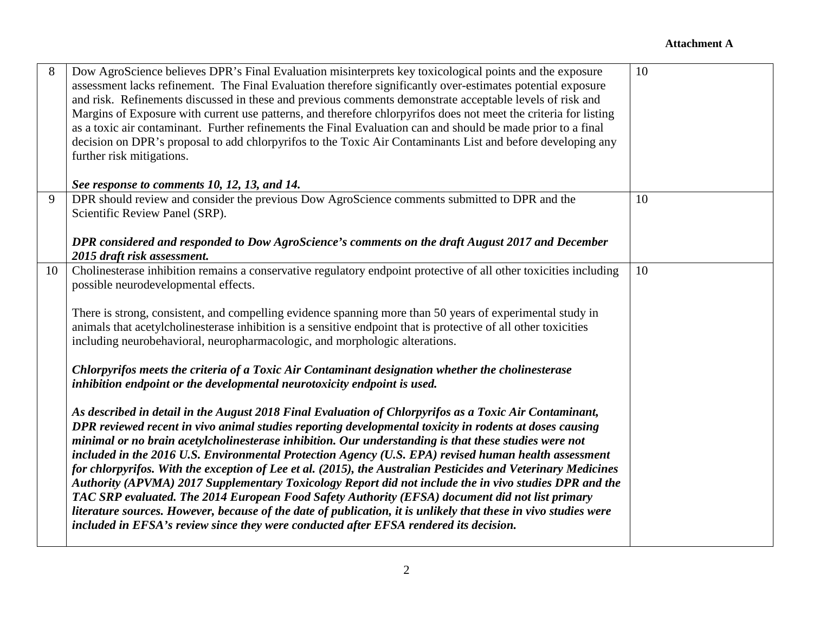| 8  | Dow AgroScience believes DPR's Final Evaluation misinterprets key toxicological points and the exposure<br>assessment lacks refinement. The Final Evaluation therefore significantly over-estimates potential exposure<br>and risk. Refinements discussed in these and previous comments demonstrate acceptable levels of risk and<br>Margins of Exposure with current use patterns, and therefore chlorpyrifos does not meet the criteria for listing<br>as a toxic air contaminant. Further refinements the Final Evaluation can and should be made prior to a final<br>decision on DPR's proposal to add chlorpyrifos to the Toxic Air Contaminants List and before developing any<br>further risk mitigations.<br>See response to comments 10, 12, 13, and 14.                                                                                                                                                                                                                                                                                                                                                                                                                                                                                                                                                                                                                                                                                                                                                                                                                                                                        | 10 |
|----|-------------------------------------------------------------------------------------------------------------------------------------------------------------------------------------------------------------------------------------------------------------------------------------------------------------------------------------------------------------------------------------------------------------------------------------------------------------------------------------------------------------------------------------------------------------------------------------------------------------------------------------------------------------------------------------------------------------------------------------------------------------------------------------------------------------------------------------------------------------------------------------------------------------------------------------------------------------------------------------------------------------------------------------------------------------------------------------------------------------------------------------------------------------------------------------------------------------------------------------------------------------------------------------------------------------------------------------------------------------------------------------------------------------------------------------------------------------------------------------------------------------------------------------------------------------------------------------------------------------------------------------------|----|
| 9  | DPR should review and consider the previous Dow AgroScience comments submitted to DPR and the<br>Scientific Review Panel (SRP).<br>DPR considered and responded to Dow AgroScience's comments on the draft August 2017 and December<br>2015 draft risk assessment.                                                                                                                                                                                                                                                                                                                                                                                                                                                                                                                                                                                                                                                                                                                                                                                                                                                                                                                                                                                                                                                                                                                                                                                                                                                                                                                                                                        | 10 |
| 10 | Cholinesterase inhibition remains a conservative regulatory endpoint protective of all other toxicities including<br>possible neurodevelopmental effects.<br>There is strong, consistent, and compelling evidence spanning more than 50 years of experimental study in<br>animals that acetylcholinesterase inhibition is a sensitive endpoint that is protective of all other toxicities<br>including neurobehavioral, neuropharmacologic, and morphologic alterations.<br>Chlorpyrifos meets the criteria of a Toxic Air Contaminant designation whether the cholinesterase<br>inhibition endpoint or the developmental neurotoxicity endpoint is used.<br>As described in detail in the August 2018 Final Evaluation of Chlorpyrifos as a Toxic Air Contaminant,<br>DPR reviewed recent in vivo animal studies reporting developmental toxicity in rodents at doses causing<br>minimal or no brain acetylcholinesterase inhibition. Our understanding is that these studies were not<br>included in the 2016 U.S. Environmental Protection Agency (U.S. EPA) revised human health assessment<br>for chlorpyrifos. With the exception of Lee et al. (2015), the Australian Pesticides and Veterinary Medicines<br>Authority (APVMA) 2017 Supplementary Toxicology Report did not include the in vivo studies DPR and the<br>TAC SRP evaluated. The 2014 European Food Safety Authority (EFSA) document did not list primary<br>literature sources. However, because of the date of publication, it is unlikely that these in vivo studies were<br>included in EFSA's review since they were conducted after EFSA rendered its decision. | 10 |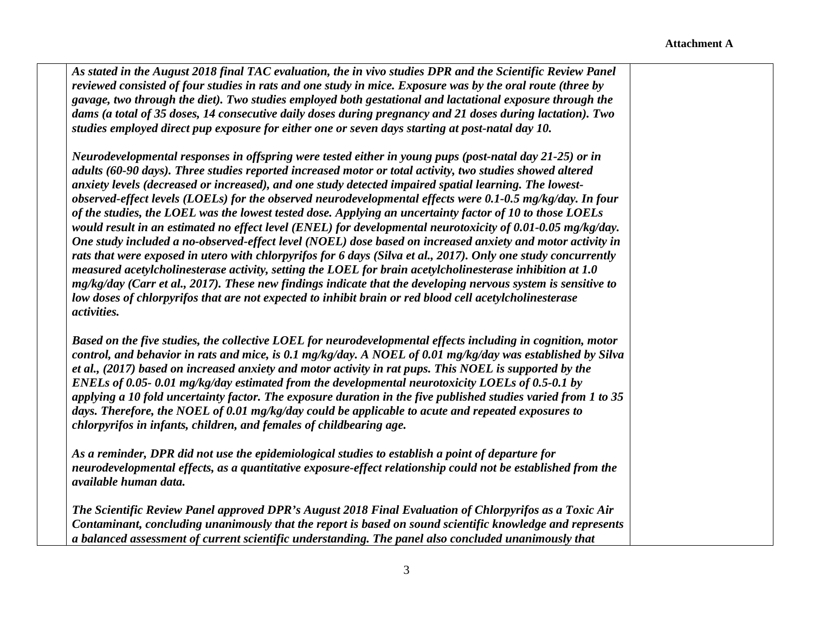*As stated in the August 2018 final TAC evaluation, the in vivo studies DPR and the Scientific Review Panel reviewed consisted of four studies in rats and one study in mice. Exposure was by the oral route (three by gavage, two through the diet). Two studies employed both gestational and lactational exposure through the dams (a total of 35 doses, 14 consecutive daily doses during pregnancy and 21 doses during lactation). Two studies employed direct pup exposure for either one or seven days starting at post-natal day 10.* 

*Neurodevelopmental responses in offspring were tested either in young pups (post-natal day 21-25) or in adults (60-90 days). Three studies reported increased motor or total activity, two studies showed altered anxiety levels (decreased or increased), and one study detected impaired spatial learning. The lowestobserved-effect levels (LOELs) for the observed neurodevelopmental effects were 0.1-0.5 mg/kg/day. In four of the studies, the LOEL was the lowest tested dose. Applying an uncertainty factor of 10 to those LOELs would result in an estimated no effect level (ENEL) for developmental neurotoxicity of 0.01-0.05 mg/kg/day. One study included a no-observed-effect level (NOEL) dose based on increased anxiety and motor activity in rats that were exposed in utero with chlorpyrifos for 6 days (Silva et al., 2017). Only one study concurrently measured acetylcholinesterase activity, setting the LOEL for brain acetylcholinesterase inhibition at 1.0 mg/kg/day (Carr et al., 2017). These new findings indicate that the developing nervous system is sensitive to low doses of chlorpyrifos that are not expected to inhibit brain or red blood cell acetylcholinesterase activities.*

*Based on the five studies, the collective LOEL for neurodevelopmental effects including in cognition, motor control, and behavior in rats and mice, is 0.1 mg/kg/day. A NOEL of 0.01 mg/kg/day was established by Silva et al., (2017) based on increased anxiety and motor activity in rat pups. This NOEL is supported by the ENELs of 0.05- 0.01 mg/kg/day estimated from the developmental neurotoxicity LOELs of 0.5-0.1 by applying a 10 fold uncertainty factor. The exposure duration in the five published studies varied from 1 to 35 days. Therefore, the NOEL of 0.01 mg/kg/day could be applicable to acute and repeated exposures to chlorpyrifos in infants, children, and females of childbearing age.* 

*As a reminder, DPR did not use the epidemiological studies to establish a point of departure for neurodevelopmental effects, as a quantitative exposure-effect relationship could not be established from the available human data.* 

*The Scientific Review Panel approved DPR's August 2018 Final Evaluation of Chlorpyrifos as a Toxic Air Contaminant, concluding unanimously that the report is based on sound scientific knowledge and represents a balanced assessment of current scientific understanding. The panel also concluded unanimously that*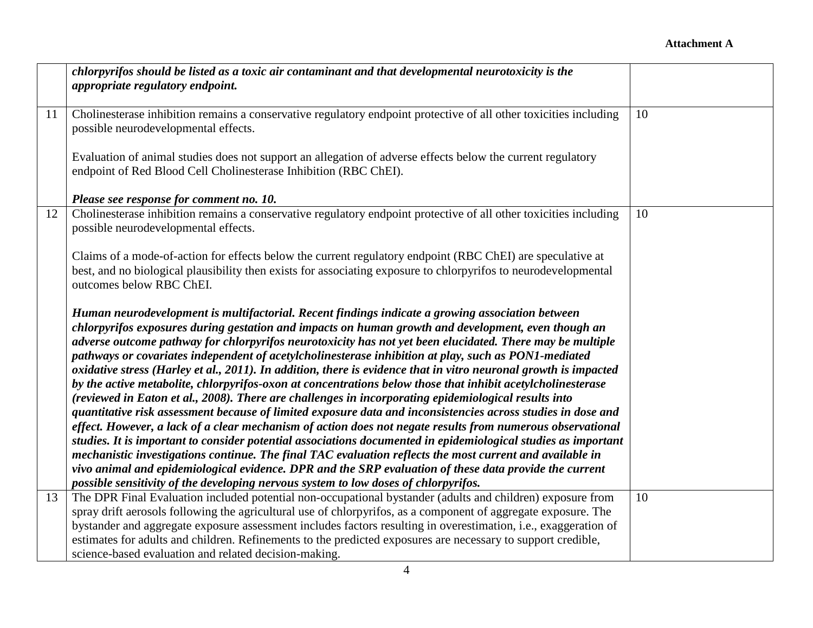## **Attachment A**

|    | chlorpyrifos should be listed as a toxic air contaminant and that developmental neurotoxicity is the              |    |
|----|-------------------------------------------------------------------------------------------------------------------|----|
|    | appropriate regulatory endpoint.                                                                                  |    |
|    |                                                                                                                   |    |
| 11 | Cholinesterase inhibition remains a conservative regulatory endpoint protective of all other toxicities including | 10 |
|    | possible neurodevelopmental effects.                                                                              |    |
|    |                                                                                                                   |    |
|    | Evaluation of animal studies does not support an allegation of adverse effects below the current regulatory       |    |
|    | endpoint of Red Blood Cell Cholinesterase Inhibition (RBC ChEI).                                                  |    |
|    |                                                                                                                   |    |
|    | Please see response for comment no. 10.                                                                           |    |
| 12 | Cholinesterase inhibition remains a conservative regulatory endpoint protective of all other toxicities including | 10 |
|    | possible neurodevelopmental effects.                                                                              |    |
|    |                                                                                                                   |    |
|    | Claims of a mode-of-action for effects below the current regulatory endpoint (RBC ChEI) are speculative at        |    |
|    | best, and no biological plausibility then exists for associating exposure to chlorpyrifos to neurodevelopmental   |    |
|    | outcomes below RBC ChEI.                                                                                          |    |
|    |                                                                                                                   |    |
|    | Human neurodevelopment is multifactorial. Recent findings indicate a growing association between                  |    |
|    | chlorpyrifos exposures during gestation and impacts on human growth and development, even though an               |    |
|    | adverse outcome pathway for chlorpyrifos neurotoxicity has not yet been elucidated. There may be multiple         |    |
|    | pathways or covariates independent of acetylcholinesterase inhibition at play, such as PON1-mediated              |    |
|    | oxidative stress (Harley et al., 2011). In addition, there is evidence that in vitro neuronal growth is impacted  |    |
|    | by the active metabolite, chlorpyrifos-oxon at concentrations below those that inhibit acetylcholinesterase       |    |
|    | (reviewed in Eaton et al., 2008). There are challenges in incorporating epidemiological results into              |    |
|    | quantitative risk assessment because of limited exposure data and inconsistencies across studies in dose and      |    |
|    | effect. However, a lack of a clear mechanism of action does not negate results from numerous observational        |    |
|    | studies. It is important to consider potential associations documented in epidemiological studies as important    |    |
|    | mechanistic investigations continue. The final TAC evaluation reflects the most current and available in          |    |
|    | vivo animal and epidemiological evidence. DPR and the SRP evaluation of these data provide the current            |    |
|    | possible sensitivity of the developing nervous system to low doses of chlorpyrifos.                               |    |
| 13 | The DPR Final Evaluation included potential non-occupational bystander (adults and children) exposure from        | 10 |
|    | spray drift aerosols following the agricultural use of chlorpyrifos, as a component of aggregate exposure. The    |    |
|    | bystander and aggregate exposure assessment includes factors resulting in overestimation, i.e., exaggeration of   |    |
|    | estimates for adults and children. Refinements to the predicted exposures are necessary to support credible,      |    |
|    | science-based evaluation and related decision-making.                                                             |    |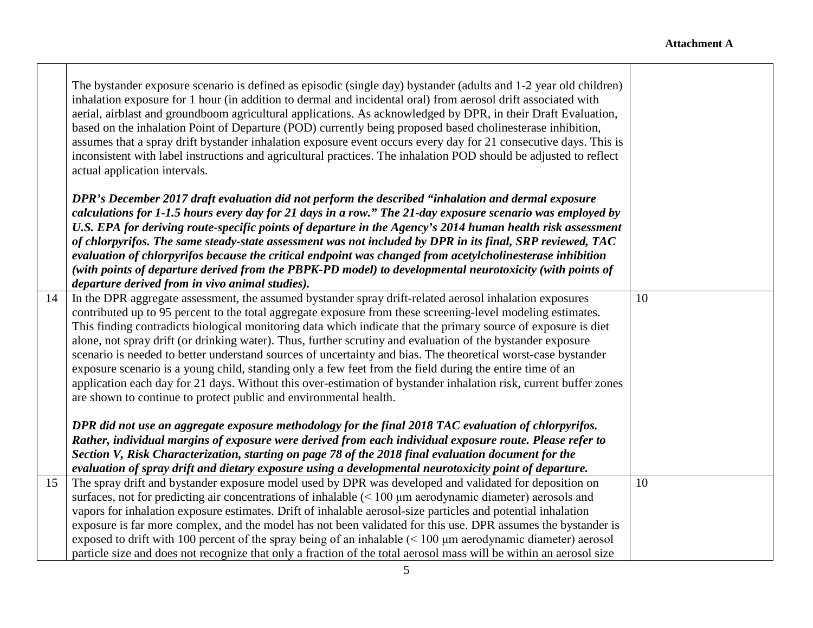┬

|    | The bystander exposure scenario is defined as episodic (single day) bystander (adults and 1-2 year old children)<br>inhalation exposure for 1 hour (in addition to dermal and incidental oral) from aerosol drift associated with<br>aerial, airblast and groundboom agricultural applications. As acknowledged by DPR, in their Draft Evaluation,<br>based on the inhalation Point of Departure (POD) currently being proposed based cholinesterase inhibition,<br>assumes that a spray drift bystander inhalation exposure event occurs every day for 21 consecutive days. This is<br>inconsistent with label instructions and agricultural practices. The inhalation POD should be adjusted to reflect<br>actual application intervals. |    |
|----|--------------------------------------------------------------------------------------------------------------------------------------------------------------------------------------------------------------------------------------------------------------------------------------------------------------------------------------------------------------------------------------------------------------------------------------------------------------------------------------------------------------------------------------------------------------------------------------------------------------------------------------------------------------------------------------------------------------------------------------------|----|
|    | DPR's December 2017 draft evaluation did not perform the described "inhalation and dermal exposure<br>calculations for 1-1.5 hours every day for 21 days in a row." The 21-day exposure scenario was employed by<br>U.S. EPA for deriving route-specific points of departure in the Agency's 2014 human health risk assessment<br>of chlorpyrifos. The same steady-state assessment was not included by DPR in its final, SRP reviewed, TAC                                                                                                                                                                                                                                                                                                |    |
|    | evaluation of chlorpyrifos because the critical endpoint was changed from acetylcholinesterase inhibition                                                                                                                                                                                                                                                                                                                                                                                                                                                                                                                                                                                                                                  |    |
|    | (with points of departure derived from the PBPK-PD model) to developmental neurotoxicity (with points of<br>departure derived from in vivo animal studies).                                                                                                                                                                                                                                                                                                                                                                                                                                                                                                                                                                                |    |
| 14 | In the DPR aggregate assessment, the assumed bystander spray drift-related aerosol inhalation exposures                                                                                                                                                                                                                                                                                                                                                                                                                                                                                                                                                                                                                                    | 10 |
|    | contributed up to 95 percent to the total aggregate exposure from these screening-level modeling estimates.                                                                                                                                                                                                                                                                                                                                                                                                                                                                                                                                                                                                                                |    |
|    | This finding contradicts biological monitoring data which indicate that the primary source of exposure is diet                                                                                                                                                                                                                                                                                                                                                                                                                                                                                                                                                                                                                             |    |
|    | alone, not spray drift (or drinking water). Thus, further scrutiny and evaluation of the bystander exposure                                                                                                                                                                                                                                                                                                                                                                                                                                                                                                                                                                                                                                |    |
|    | scenario is needed to better understand sources of uncertainty and bias. The theoretical worst-case bystander<br>exposure scenario is a young child, standing only a few feet from the field during the entire time of an                                                                                                                                                                                                                                                                                                                                                                                                                                                                                                                  |    |
|    | application each day for 21 days. Without this over-estimation of bystander inhalation risk, current buffer zones                                                                                                                                                                                                                                                                                                                                                                                                                                                                                                                                                                                                                          |    |
|    | are shown to continue to protect public and environmental health.                                                                                                                                                                                                                                                                                                                                                                                                                                                                                                                                                                                                                                                                          |    |
|    |                                                                                                                                                                                                                                                                                                                                                                                                                                                                                                                                                                                                                                                                                                                                            |    |
|    | DPR did not use an aggregate exposure methodology for the final 2018 TAC evaluation of chlorpyrifos.                                                                                                                                                                                                                                                                                                                                                                                                                                                                                                                                                                                                                                       |    |
|    | Rather, individual margins of exposure were derived from each individual exposure route. Please refer to<br>Section V, Risk Characterization, starting on page 78 of the 2018 final evaluation document for the                                                                                                                                                                                                                                                                                                                                                                                                                                                                                                                            |    |
|    | evaluation of spray drift and dietary exposure using a developmental neurotoxicity point of departure.                                                                                                                                                                                                                                                                                                                                                                                                                                                                                                                                                                                                                                     |    |
| 15 | The spray drift and bystander exposure model used by DPR was developed and validated for deposition on                                                                                                                                                                                                                                                                                                                                                                                                                                                                                                                                                                                                                                     | 10 |
|    | surfaces, not for predicting air concentrations of inhalable (< 100 µm aerodynamic diameter) aerosols and                                                                                                                                                                                                                                                                                                                                                                                                                                                                                                                                                                                                                                  |    |
|    | vapors for inhalation exposure estimates. Drift of inhalable aerosol-size particles and potential inhalation                                                                                                                                                                                                                                                                                                                                                                                                                                                                                                                                                                                                                               |    |
|    | exposure is far more complex, and the model has not been validated for this use. DPR assumes the bystander is                                                                                                                                                                                                                                                                                                                                                                                                                                                                                                                                                                                                                              |    |
|    | exposed to drift with 100 percent of the spray being of an inhalable $($ 100 $\mu$ m aerodynamic diameter) aerosol                                                                                                                                                                                                                                                                                                                                                                                                                                                                                                                                                                                                                         |    |
|    | particle size and does not recognize that only a fraction of the total aerosol mass will be within an aerosol size                                                                                                                                                                                                                                                                                                                                                                                                                                                                                                                                                                                                                         |    |

 $\mathbf{I}$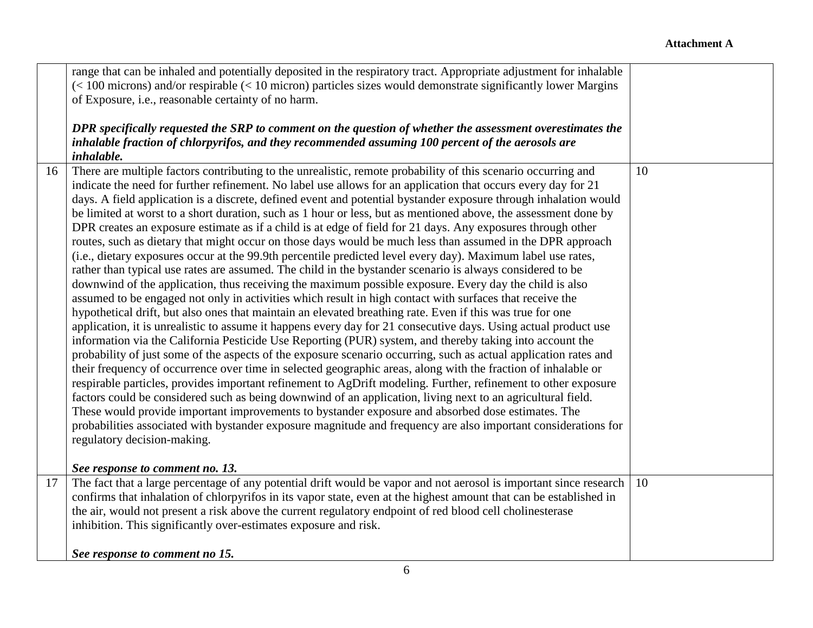|    | range that can be inhaled and potentially deposited in the respiratory tract. Appropriate adjustment for inhalable<br>$(< 100$ microns) and/or respirable $(< 10$ micron) particles sizes would demonstrate significantly lower Margins<br>of Exposure, i.e., reasonable certainty of no harm.                                                                                                                                                                                                                                                                                                                                                                                                                                                                                                                                                                                                                                                                                                                                                                                                                                                                                                                                                                                                                                                                                                                                                                                                                                                                                                                                                                                                                                                                                                                                                                                                                                                                                                                                                                                                                                                                                                                                                                   |    |
|----|------------------------------------------------------------------------------------------------------------------------------------------------------------------------------------------------------------------------------------------------------------------------------------------------------------------------------------------------------------------------------------------------------------------------------------------------------------------------------------------------------------------------------------------------------------------------------------------------------------------------------------------------------------------------------------------------------------------------------------------------------------------------------------------------------------------------------------------------------------------------------------------------------------------------------------------------------------------------------------------------------------------------------------------------------------------------------------------------------------------------------------------------------------------------------------------------------------------------------------------------------------------------------------------------------------------------------------------------------------------------------------------------------------------------------------------------------------------------------------------------------------------------------------------------------------------------------------------------------------------------------------------------------------------------------------------------------------------------------------------------------------------------------------------------------------------------------------------------------------------------------------------------------------------------------------------------------------------------------------------------------------------------------------------------------------------------------------------------------------------------------------------------------------------------------------------------------------------------------------------------------------------|----|
|    | DPR specifically requested the SRP to comment on the question of whether the assessment overestimates the<br>inhalable fraction of chlorpyrifos, and they recommended assuming 100 percent of the aerosols are<br>inhalable.                                                                                                                                                                                                                                                                                                                                                                                                                                                                                                                                                                                                                                                                                                                                                                                                                                                                                                                                                                                                                                                                                                                                                                                                                                                                                                                                                                                                                                                                                                                                                                                                                                                                                                                                                                                                                                                                                                                                                                                                                                     |    |
| 16 | There are multiple factors contributing to the unrealistic, remote probability of this scenario occurring and<br>indicate the need for further refinement. No label use allows for an application that occurs every day for 21<br>days. A field application is a discrete, defined event and potential bystander exposure through inhalation would<br>be limited at worst to a short duration, such as 1 hour or less, but as mentioned above, the assessment done by<br>DPR creates an exposure estimate as if a child is at edge of field for 21 days. Any exposures through other<br>routes, such as dietary that might occur on those days would be much less than assumed in the DPR approach<br>(i.e., dietary exposures occur at the 99.9th percentile predicted level every day). Maximum label use rates,<br>rather than typical use rates are assumed. The child in the bystander scenario is always considered to be<br>downwind of the application, thus receiving the maximum possible exposure. Every day the child is also<br>assumed to be engaged not only in activities which result in high contact with surfaces that receive the<br>hypothetical drift, but also ones that maintain an elevated breathing rate. Even if this was true for one<br>application, it is unrealistic to assume it happens every day for 21 consecutive days. Using actual product use<br>information via the California Pesticide Use Reporting (PUR) system, and thereby taking into account the<br>probability of just some of the aspects of the exposure scenario occurring, such as actual application rates and<br>their frequency of occurrence over time in selected geographic areas, along with the fraction of inhalable or<br>respirable particles, provides important refinement to AgDrift modeling. Further, refinement to other exposure<br>factors could be considered such as being downwind of an application, living next to an agricultural field.<br>These would provide important improvements to bystander exposure and absorbed dose estimates. The<br>probabilities associated with bystander exposure magnitude and frequency are also important considerations for<br>regulatory decision-making.<br>See response to comment no. 13. | 10 |
| 17 | The fact that a large percentage of any potential drift would be vapor and not aerosol is important since research                                                                                                                                                                                                                                                                                                                                                                                                                                                                                                                                                                                                                                                                                                                                                                                                                                                                                                                                                                                                                                                                                                                                                                                                                                                                                                                                                                                                                                                                                                                                                                                                                                                                                                                                                                                                                                                                                                                                                                                                                                                                                                                                               | 10 |
|    | confirms that inhalation of chlorpyrifos in its vapor state, even at the highest amount that can be established in                                                                                                                                                                                                                                                                                                                                                                                                                                                                                                                                                                                                                                                                                                                                                                                                                                                                                                                                                                                                                                                                                                                                                                                                                                                                                                                                                                                                                                                                                                                                                                                                                                                                                                                                                                                                                                                                                                                                                                                                                                                                                                                                               |    |
|    | the air, would not present a risk above the current regulatory endpoint of red blood cell cholinesterase<br>inhibition. This significantly over-estimates exposure and risk.                                                                                                                                                                                                                                                                                                                                                                                                                                                                                                                                                                                                                                                                                                                                                                                                                                                                                                                                                                                                                                                                                                                                                                                                                                                                                                                                                                                                                                                                                                                                                                                                                                                                                                                                                                                                                                                                                                                                                                                                                                                                                     |    |
|    | See response to comment no 15.                                                                                                                                                                                                                                                                                                                                                                                                                                                                                                                                                                                                                                                                                                                                                                                                                                                                                                                                                                                                                                                                                                                                                                                                                                                                                                                                                                                                                                                                                                                                                                                                                                                                                                                                                                                                                                                                                                                                                                                                                                                                                                                                                                                                                                   |    |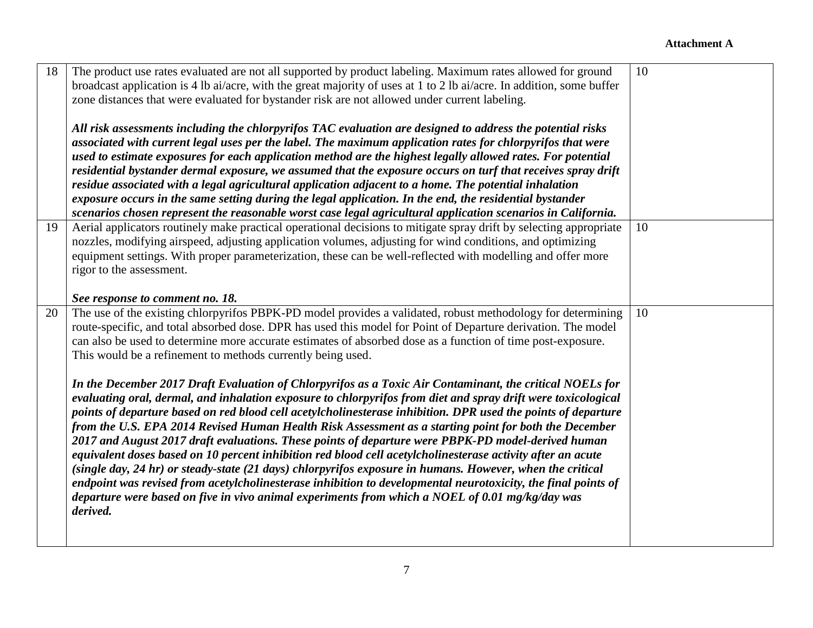| 18 | The product use rates evaluated are not all supported by product labeling. Maximum rates allowed for ground<br>broadcast application is 4 lb ai/acre, with the great majority of uses at 1 to 2 lb ai/acre. In addition, some buffer<br>zone distances that were evaluated for bystander risk are not allowed under current labeling.<br>All risk assessments including the chlorpyrifos TAC evaluation are designed to address the potential risks<br>associated with current legal uses per the label. The maximum application rates for chlorpyrifos that were<br>used to estimate exposures for each application method are the highest legally allowed rates. For potential<br>residential bystander dermal exposure, we assumed that the exposure occurs on turf that receives spray drift<br>residue associated with a legal agricultural application adjacent to a home. The potential inhalation<br>exposure occurs in the same setting during the legal application. In the end, the residential bystander<br>scenarios chosen represent the reasonable worst case legal agricultural application scenarios in California.                                                                                                                                                                                                                                                                                                | 10 |
|----|-------------------------------------------------------------------------------------------------------------------------------------------------------------------------------------------------------------------------------------------------------------------------------------------------------------------------------------------------------------------------------------------------------------------------------------------------------------------------------------------------------------------------------------------------------------------------------------------------------------------------------------------------------------------------------------------------------------------------------------------------------------------------------------------------------------------------------------------------------------------------------------------------------------------------------------------------------------------------------------------------------------------------------------------------------------------------------------------------------------------------------------------------------------------------------------------------------------------------------------------------------------------------------------------------------------------------------------------------------------------------------------------------------------------------------------|----|
| 19 | Aerial applicators routinely make practical operational decisions to mitigate spray drift by selecting appropriate<br>nozzles, modifying airspeed, adjusting application volumes, adjusting for wind conditions, and optimizing<br>equipment settings. With proper parameterization, these can be well-reflected with modelling and offer more<br>rigor to the assessment.<br>See response to comment no. 18.                                                                                                                                                                                                                                                                                                                                                                                                                                                                                                                                                                                                                                                                                                                                                                                                                                                                                                                                                                                                                       | 10 |
| 20 | The use of the existing chlorpyrifos PBPK-PD model provides a validated, robust methodology for determining<br>route-specific, and total absorbed dose. DPR has used this model for Point of Departure derivation. The model<br>can also be used to determine more accurate estimates of absorbed dose as a function of time post-exposure.<br>This would be a refinement to methods currently being used.<br>In the December 2017 Draft Evaluation of Chlorpyrifos as a Toxic Air Contaminant, the critical NOELs for<br>evaluating oral, dermal, and inhalation exposure to chlorpyrifos from diet and spray drift were toxicological<br>points of departure based on red blood cell acetylcholinesterase inhibition. DPR used the points of departure<br>from the U.S. EPA 2014 Revised Human Health Risk Assessment as a starting point for both the December<br>2017 and August 2017 draft evaluations. These points of departure were PBPK-PD model-derived human<br>equivalent doses based on 10 percent inhibition red blood cell acetylcholinesterase activity after an acute<br>(single day, 24 hr) or steady-state (21 days) chlorpyrifos exposure in humans. However, when the critical<br>endpoint was revised from acetylcholinesterase inhibition to developmental neurotoxicity, the final points of<br>departure were based on five in vivo animal experiments from which a NOEL of 0.01 mg/kg/day was<br>derived. | 10 |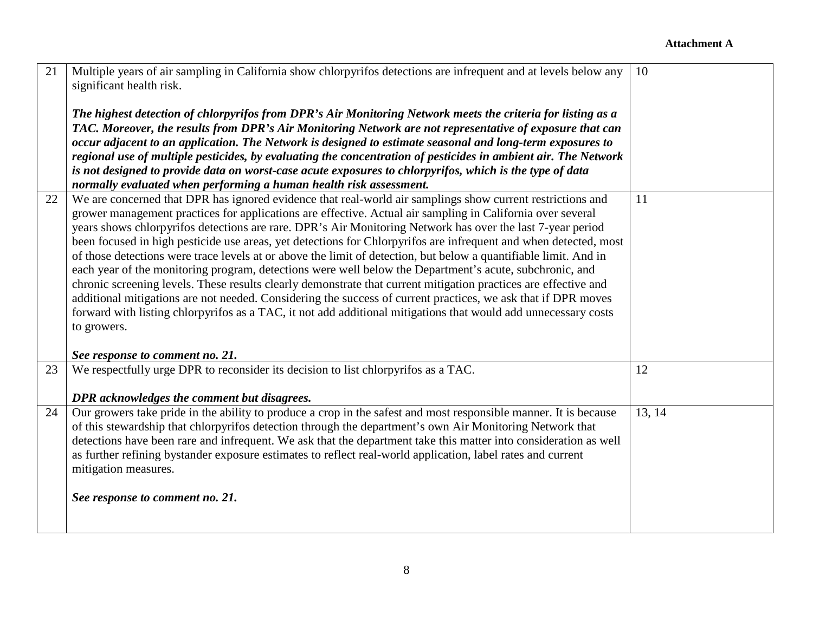| 21 | Multiple years of air sampling in California show chlorpyrifos detections are infrequent and at levels below any<br>significant health risk.<br>The highest detection of chlorpyrifos from DPR's Air Monitoring Network meets the criteria for listing as a<br>TAC. Moreover, the results from DPR's Air Monitoring Network are not representative of exposure that can                                                                                                                                                                                                                                                                                                                                                                                                                                                                                                                                                                                                                                                                                        | 10     |
|----|----------------------------------------------------------------------------------------------------------------------------------------------------------------------------------------------------------------------------------------------------------------------------------------------------------------------------------------------------------------------------------------------------------------------------------------------------------------------------------------------------------------------------------------------------------------------------------------------------------------------------------------------------------------------------------------------------------------------------------------------------------------------------------------------------------------------------------------------------------------------------------------------------------------------------------------------------------------------------------------------------------------------------------------------------------------|--------|
|    | occur adjacent to an application. The Network is designed to estimate seasonal and long-term exposures to<br>regional use of multiple pesticides, by evaluating the concentration of pesticides in ambient air. The Network<br>is not designed to provide data on worst-case acute exposures to chlorpyrifos, which is the type of data                                                                                                                                                                                                                                                                                                                                                                                                                                                                                                                                                                                                                                                                                                                        |        |
|    | normally evaluated when performing a human health risk assessment.                                                                                                                                                                                                                                                                                                                                                                                                                                                                                                                                                                                                                                                                                                                                                                                                                                                                                                                                                                                             |        |
| 22 | We are concerned that DPR has ignored evidence that real-world air samplings show current restrictions and<br>grower management practices for applications are effective. Actual air sampling in California over several<br>years shows chlorpyrifos detections are rare. DPR's Air Monitoring Network has over the last 7-year period<br>been focused in high pesticide use areas, yet detections for Chlorpyrifos are infrequent and when detected, most<br>of those detections were trace levels at or above the limit of detection, but below a quantifiable limit. And in<br>each year of the monitoring program, detections were well below the Department's acute, subchronic, and<br>chronic screening levels. These results clearly demonstrate that current mitigation practices are effective and<br>additional mitigations are not needed. Considering the success of current practices, we ask that if DPR moves<br>forward with listing chlorpyrifos as a TAC, it not add additional mitigations that would add unnecessary costs<br>to growers. | 11     |
|    | See response to comment no. 21.                                                                                                                                                                                                                                                                                                                                                                                                                                                                                                                                                                                                                                                                                                                                                                                                                                                                                                                                                                                                                                |        |
| 23 | We respectfully urge DPR to reconsider its decision to list chlorpyrifos as a TAC.<br>DPR acknowledges the comment but disagrees.                                                                                                                                                                                                                                                                                                                                                                                                                                                                                                                                                                                                                                                                                                                                                                                                                                                                                                                              | 12     |
| 24 | Our growers take pride in the ability to produce a crop in the safest and most responsible manner. It is because<br>of this stewardship that chlorpyrifos detection through the department's own Air Monitoring Network that<br>detections have been rare and infrequent. We ask that the department take this matter into consideration as well<br>as further refining bystander exposure estimates to reflect real-world application, label rates and current<br>mitigation measures.<br>See response to comment no. 21.                                                                                                                                                                                                                                                                                                                                                                                                                                                                                                                                     | 13, 14 |
|    |                                                                                                                                                                                                                                                                                                                                                                                                                                                                                                                                                                                                                                                                                                                                                                                                                                                                                                                                                                                                                                                                |        |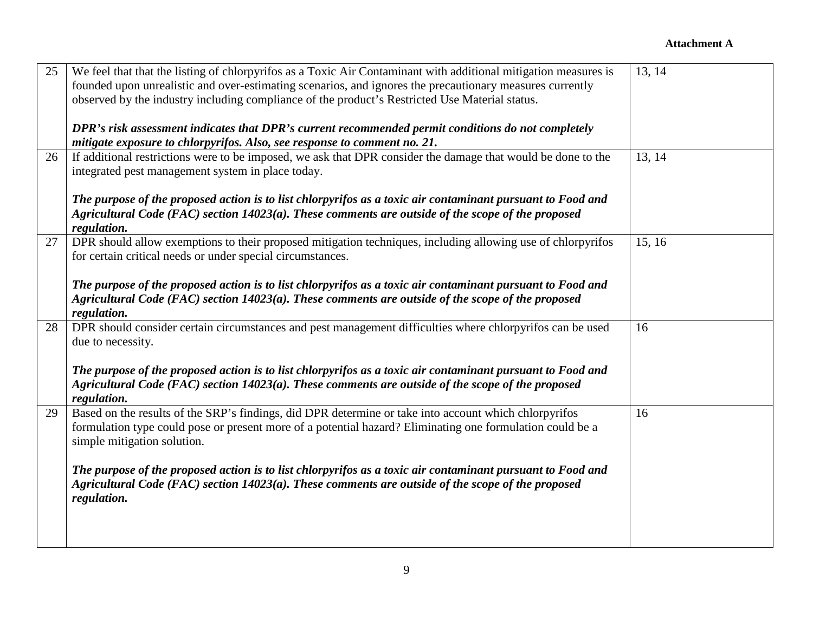## **Attachment A**

| 25 | We feel that that the listing of chlorpyrifos as a Toxic Air Contaminant with additional mitigation measures is | 13, 14 |
|----|-----------------------------------------------------------------------------------------------------------------|--------|
|    | founded upon unrealistic and over-estimating scenarios, and ignores the precautionary measures currently        |        |
|    | observed by the industry including compliance of the product's Restricted Use Material status.                  |        |
|    |                                                                                                                 |        |
|    | DPR's risk assessment indicates that DPR's current recommended permit conditions do not completely              |        |
|    | mitigate exposure to chlorpyrifos. Also, see response to comment no. 21.                                        |        |
| 26 | If additional restrictions were to be imposed, we ask that DPR consider the damage that would be done to the    | 13, 14 |
|    | integrated pest management system in place today.                                                               |        |
|    |                                                                                                                 |        |
|    | The purpose of the proposed action is to list chlorpyrifos as a toxic air contaminant pursuant to Food and      |        |
|    | Agricultural Code (FAC) section $14023(a)$ . These comments are outside of the scope of the proposed            |        |
|    | regulation.                                                                                                     |        |
| 27 | DPR should allow exemptions to their proposed mitigation techniques, including allowing use of chlorpyrifos     | 15, 16 |
|    | for certain critical needs or under special circumstances.                                                      |        |
|    |                                                                                                                 |        |
|    | The purpose of the proposed action is to list chlorpyrifos as a toxic air contaminant pursuant to Food and      |        |
|    | Agricultural Code (FAC) section $14023(a)$ . These comments are outside of the scope of the proposed            |        |
|    | regulation.                                                                                                     |        |
| 28 | DPR should consider certain circumstances and pest management difficulties where chlorpyrifos can be used       | 16     |
|    | due to necessity.                                                                                               |        |
|    |                                                                                                                 |        |
|    | The purpose of the proposed action is to list chlorpyrifos as a toxic air contaminant pursuant to Food and      |        |
|    | Agricultural Code (FAC) section $14023(a)$ . These comments are outside of the scope of the proposed            |        |
|    | regulation.                                                                                                     |        |
| 29 | Based on the results of the SRP's findings, did DPR determine or take into account which chlorpyrifos           | 16     |
|    | formulation type could pose or present more of a potential hazard? Eliminating one formulation could be a       |        |
|    | simple mitigation solution.                                                                                     |        |
|    |                                                                                                                 |        |
|    | The purpose of the proposed action is to list chlorpyrifos as a toxic air contaminant pursuant to Food and      |        |
|    | Agricultural Code (FAC) section $14023(a)$ . These comments are outside of the scope of the proposed            |        |
|    | regulation.                                                                                                     |        |
|    |                                                                                                                 |        |
|    |                                                                                                                 |        |
|    |                                                                                                                 |        |